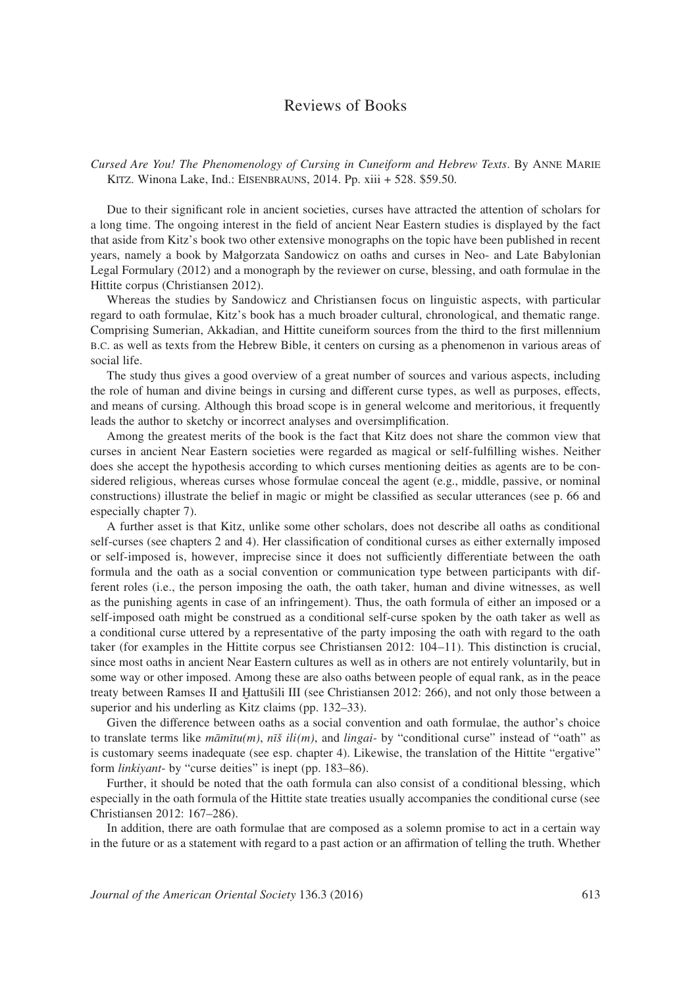## Reviews of Books

*Cursed Are You! The Phenomenology of Cursing in Cuneiform and Hebrew Texts*. By Anne Marie Kitz. Winona Lake, Ind.: Eisenbrauns, 2014. Pp. xiii + 528. \$59.50.

Due to their significant role in ancient societies, curses have attracted the attention of scholars for a long time. The ongoing interest in the field of ancient Near Eastern studies is displayed by the fact that aside from Kitz's book two other extensive monographs on the topic have been published in recent years, namely a book by Małgorzata Sandowicz on oaths and curses in Neo- and Late Babylonian Legal Formulary (2012) and a monograph by the reviewer on curse, blessing, and oath formulae in the Hittite corpus (Christiansen 2012).

Whereas the studies by Sandowicz and Christiansen focus on linguistic aspects, with particular regard to oath formulae, Kitz's book has a much broader cultural, chronological, and thematic range. Comprising Sumerian, Akkadian, and Hittite cuneiform sources from the third to the first millennium b.c. as well as texts from the Hebrew Bible, it centers on cursing as a phenomenon in various areas of social life.

The study thus gives a good overview of a great number of sources and various aspects, including the role of human and divine beings in cursing and different curse types, as well as purposes, effects, and means of cursing. Although this broad scope is in general welcome and meritorious, it frequently leads the author to sketchy or incorrect analyses and oversimplification.

Among the greatest merits of the book is the fact that Kitz does not share the common view that curses in ancient Near Eastern societies were regarded as magical or self-fulfilling wishes. Neither does she accept the hypothesis according to which curses mentioning deities as agents are to be considered religious, whereas curses whose formulae conceal the agent (e.g., middle, passive, or nominal constructions) illustrate the belief in magic or might be classified as secular utterances (see p. 66 and especially chapter 7).

A further asset is that Kitz, unlike some other scholars, does not describe all oaths as conditional self-curses (see chapters 2 and 4). Her classification of conditional curses as either externally imposed or self-imposed is, however, imprecise since it does not sufficiently differentiate between the oath formula and the oath as a social convention or communication type between participants with different roles (i.e., the person imposing the oath, the oath taker, human and divine witnesses, as well as the punishing agents in case of an infringement). Thus, the oath formula of either an imposed or a self-imposed oath might be construed as a conditional self-curse spoken by the oath taker as well as a conditional curse uttered by a representative of the party imposing the oath with regard to the oath taker (for examples in the Hittite corpus see Christiansen 2012: 104–11). This distinction is crucial, since most oaths in ancient Near Eastern cultures as well as in others are not entirely voluntarily, but in some way or other imposed. Among these are also oaths between people of equal rank, as in the peace treaty between Ramses II and Ḫattušili III (see Christiansen 2012: 266), and not only those between a superior and his underling as Kitz claims (pp. 132–33).

Given the difference between oaths as a social convention and oath formulae, the author's choice to translate terms like *māmītu(m)*, *nīš ili(m)*, and *lingai-* by "conditional curse" instead of "oath" as is customary seems inadequate (see esp. chapter 4). Likewise, the translation of the Hittite "ergative" form *linkiyant*- by "curse deities" is inept (pp. 183–86).

Further, it should be noted that the oath formula can also consist of a conditional blessing, which especially in the oath formula of the Hittite state treaties usually accompanies the conditional curse (see Christiansen 2012: 167–286).

In addition, there are oath formulae that are composed as a solemn promise to act in a certain way in the future or as a statement with regard to a past action or an affirmation of telling the truth. Whether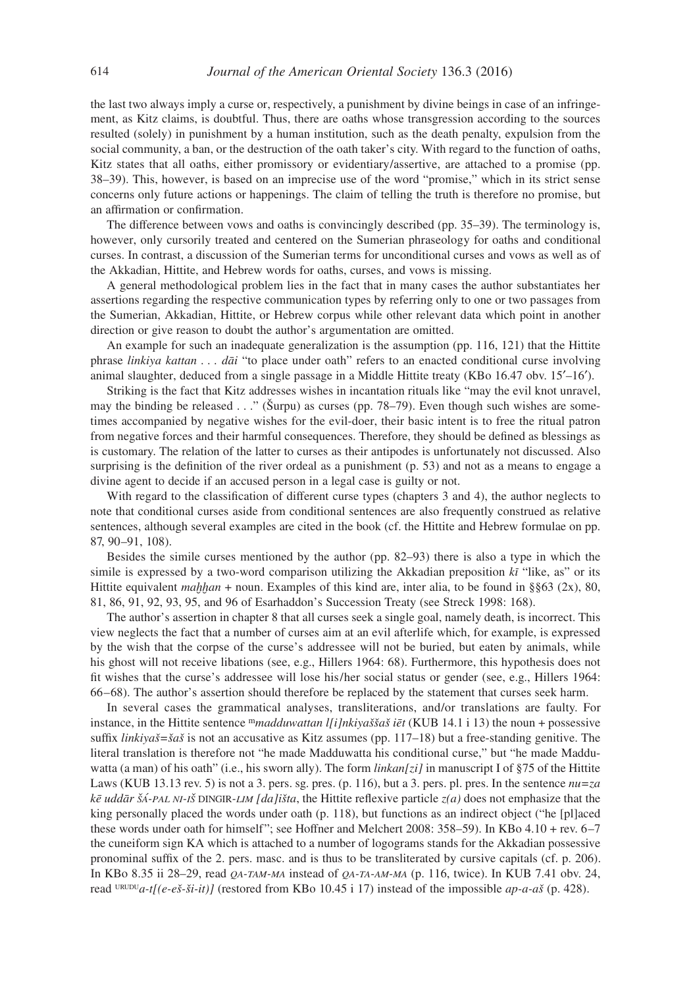the last two always imply a curse or, respectively, a punishment by divine beings in case of an infringement, as Kitz claims, is doubtful. Thus, there are oaths whose transgression according to the sources resulted (solely) in punishment by a human institution, such as the death penalty, expulsion from the social community, a ban, or the destruction of the oath taker's city. With regard to the function of oaths, Kitz states that all oaths, either promissory or evidentiary/assertive, are attached to a promise (pp. 38–39). This, however, is based on an imprecise use of the word "promise," which in its strict sense concerns only future actions or happenings. The claim of telling the truth is therefore no promise, but an affirmation or confirmation.

The difference between vows and oaths is convincingly described (pp. 35–39). The terminology is, however, only cursorily treated and centered on the Sumerian phraseology for oaths and conditional curses. In contrast, a discussion of the Sumerian terms for unconditional curses and vows as well as of the Akkadian, Hittite, and Hebrew words for oaths, curses, and vows is missing.

A general methodological problem lies in the fact that in many cases the author substantiates her assertions regarding the respective communication types by referring only to one or two passages from the Sumerian, Akkadian, Hittite, or Hebrew corpus while other relevant data which point in another direction or give reason to doubt the author's argumentation are omitted.

An example for such an inadequate generalization is the assumption (pp. 116, 121) that the Hittite phrase *linkiya kattan . . . dāi* "to place under oath" refers to an enacted conditional curse involving animal slaughter, deduced from a single passage in a Middle Hittite treaty (KBo 16.47 obv. 15ʹ–16ʹ).

Striking is the fact that Kitz addresses wishes in incantation rituals like "may the evil knot unravel, may the binding be released . . ." (Šurpu) as curses (pp. 78–79). Even though such wishes are sometimes accompanied by negative wishes for the evil-doer, their basic intent is to free the ritual patron from negative forces and their harmful consequences. Therefore, they should be defined as blessings as is customary. The relation of the latter to curses as their antipodes is unfortunately not discussed. Also surprising is the definition of the river ordeal as a punishment (p. 53) and not as a means to engage a divine agent to decide if an accused person in a legal case is guilty or not.

With regard to the classification of different curse types (chapters 3 and 4), the author neglects to note that conditional curses aside from conditional sentences are also frequently construed as relative sentences, although several examples are cited in the book (cf. the Hittite and Hebrew formulae on pp. 87, 90–91, 108).

Besides the simile curses mentioned by the author (pp. 82–93) there is also a type in which the simile is expressed by a two-word comparison utilizing the Akkadian preposition *kī* "like, as" or its Hittite equivalent *maḫḫan* + noun. Examples of this kind are, inter alia, to be found in §§63 (2x), 80, 81, 86, 91, 92, 93, 95, and 96 of Esarhaddon's Succession Treaty (see Streck 1998: 168).

The author's assertion in chapter 8 that all curses seek a single goal, namely death, is incorrect. This view neglects the fact that a number of curses aim at an evil afterlife which, for example, is expressed by the wish that the corpse of the curse's addressee will not be buried, but eaten by animals, while his ghost will not receive libations (see, e.g., Hillers 1964: 68). Furthermore, this hypothesis does not fit wishes that the curse's addressee will lose his/her social status or gender (see, e.g., Hillers 1964: 66–68). The author's assertion should therefore be replaced by the statement that curses seek harm.

In several cases the grammatical analyses, transliterations, and/or translations are faulty. For instance, in the Hittite sentence m*madduwattan l[i]nkiyaššaš iēt* (KUB 14.1 i 13) the noun + possessive suffix *linkiyaš=šaš* is not an accusative as Kitz assumes (pp. 117–18) but a free-standing genitive. The literal translation is therefore not "he made Madduwatta his conditional curse," but "he made Madduwatta (a man) of his oath" (i.e., his sworn ally). The form *linkan*[zi] in manuscript I of §75 of the Hittite Laws (KUB 13.13 rev. 5) is not a 3. pers. sg. pres. (p. 116), but a 3. pers. pl. pres. In the sentence *nu=za kē uddār šá-pal ni-iš* dingir*-lim [da]išta*, the Hittite reflexive particle *z(a)* does not emphasize that the king personally placed the words under oath (p. 118), but functions as an indirect object ("he [pl]aced these words under oath for himself"; see Hoffner and Melchert 2008: 358–59). In KBo 4.10 + rev. 6–7 the cuneiform sign KA which is attached to a number of logograms stands for the Akkadian possessive pronominal suffix of the 2. pers. masc. and is thus to be transliterated by cursive capitals (cf. p. 206). In KBo 8.35 ii 28–29, read *qa-tam-ma* instead of *qa-ta-am-ma* (p. 116, twice). In KUB 7.41 obv. 24, read  $\frac{\text{URUDU}}{a\text{-}t}$  (e-eš-ši-it)] (restored from KBo 10.45 i 17) instead of the impossible *ap-a-aš* (p. 428).